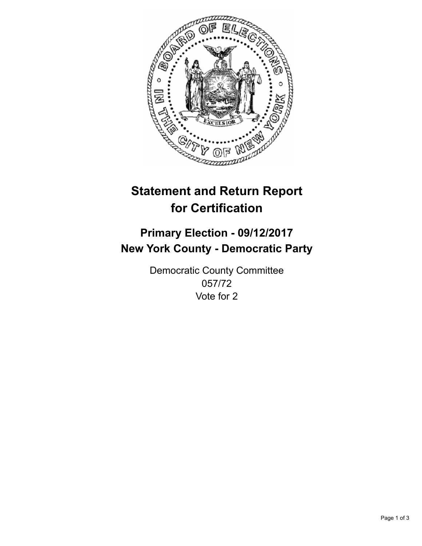

## **Statement and Return Report for Certification**

## **Primary Election - 09/12/2017 New York County - Democratic Party**

Democratic County Committee 057/72 Vote for 2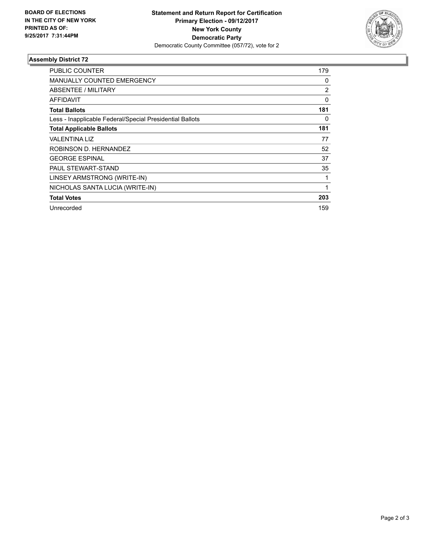

## **Assembly District 72**

| <b>PUBLIC COUNTER</b>                                    | 179 |
|----------------------------------------------------------|-----|
| <b>MANUALLY COUNTED EMERGENCY</b>                        | 0   |
| ABSENTEE / MILITARY                                      | 2   |
| AFFIDAVIT                                                | 0   |
| <b>Total Ballots</b>                                     | 181 |
| Less - Inapplicable Federal/Special Presidential Ballots | 0   |
| <b>Total Applicable Ballots</b>                          | 181 |
| <b>VALENTINA LIZ</b>                                     | 77  |
| ROBINSON D. HERNANDEZ                                    | 52  |
| <b>GEORGE ESPINAL</b>                                    | 37  |
| PAUL STEWART-STAND                                       | 35  |
| LINSEY ARMSTRONG (WRITE-IN)                              | 1   |
| NICHOLAS SANTA LUCIA (WRITE-IN)                          | 1   |
| <b>Total Votes</b>                                       | 203 |
| Unrecorded                                               | 159 |